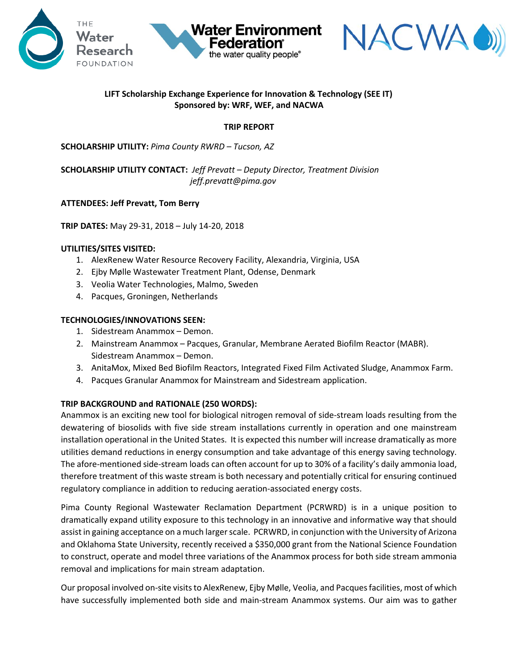



# **LIFT Scholarship Exchange Experience for Innovation & Technology (SEE IT) Sponsored by: WRF, WEF, and NACWA**

**Water Environment** 

the water quality people®

**TRIP REPORT** 

**SCHOLARSHIP UTILITY:** *Pima County RWRD – Tucson, AZ*

**SCHOLARSHIP UTILITY CONTACT:** *Jeff Prevatt – Deputy Director, Treatment Division jeff.prevatt@pima.gov*

### **ATTENDEES: Jeff Prevatt, Tom Berry**

**TRIP DATES:** May 29-31, 2018 – July 14-20, 2018

## **UTILITIES/SITES VISITED:**

- 1. AlexRenew Water Resource Recovery Facility, Alexandria, Virginia, USA
- 2. Ejby Mølle Wastewater Treatment Plant, Odense, Denmark
- 3. Veolia Water Technologies, Malmo, Sweden
- 4. Pacques, Groningen, Netherlands

### **TECHNOLOGIES/INNOVATIONS SEEN:**

- 1. Sidestream Anammox Demon.
- 2. Mainstream Anammox Pacques, Granular, Membrane Aerated Biofilm Reactor (MABR). Sidestream Anammox – Demon.
- 3. AnitaMox, Mixed Bed Biofilm Reactors, Integrated Fixed Film Activated Sludge, Anammox Farm.
- 4. Pacques Granular Anammox for Mainstream and Sidestream application.

### **TRIP BACKGROUND and RATIONALE (250 WORDS):**

Anammox is an exciting new tool for biological nitrogen removal of side-stream loads resulting from the dewatering of biosolids with five side stream installations currently in operation and one mainstream installation operational in the United States. It is expected this number will increase dramatically as more utilities demand reductions in energy consumption and take advantage of this energy saving technology. The afore-mentioned side-stream loads can often account for up to 30% of a facility's daily ammonia load, therefore treatment of this waste stream is both necessary and potentially critical for ensuring continued regulatory compliance in addition to reducing aeration-associated energy costs.

Pima County Regional Wastewater Reclamation Department (PCRWRD) is in a unique position to dramatically expand utility exposure to this technology in an innovative and informative way that should assist in gaining acceptance on a much larger scale. PCRWRD, in conjunction with the University of Arizona and Oklahoma State University, recently received a \$350,000 grant from the National Science Foundation to construct, operate and model three variations of the Anammox process for both side stream ammonia removal and implications for main stream adaptation.

Our proposal involved on-site visits to AlexRenew, Ejby Mølle, Veolia, and Pacques facilities, most of which have successfully implemented both side and main-stream Anammox systems. Our aim was to gather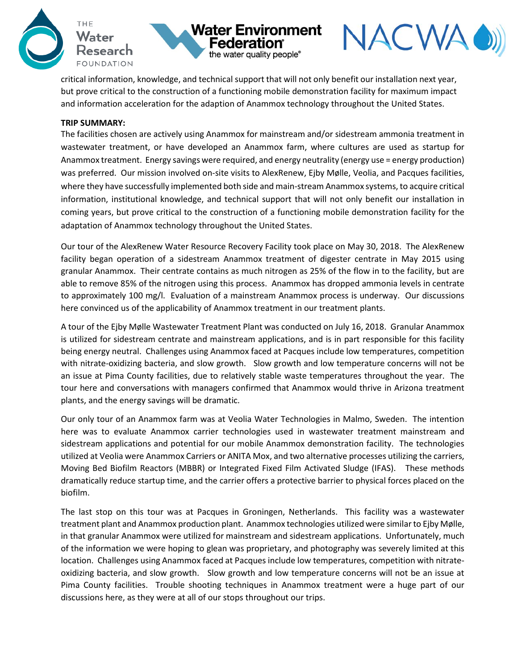





critical information, knowledge, and technical support that will not only benefit our installation next year, but prove critical to the construction of a functioning mobile demonstration facility for maximum impact and information acceleration for the adaption of Anammox technology throughout the United States.

#### **TRIP SUMMARY:**

The facilities chosen are actively using Anammox for mainstream and/or sidestream ammonia treatment in wastewater treatment, or have developed an Anammox farm, where cultures are used as startup for Anammox treatment. Energy savings were required, and energy neutrality (energy use = energy production) was preferred. Our mission involved on-site visits to AlexRenew, Ejby Mølle, Veolia, and Pacques facilities, where they have successfully implemented both side and main-stream Anammox systems, to acquire critical information, institutional knowledge, and technical support that will not only benefit our installation in coming years, but prove critical to the construction of a functioning mobile demonstration facility for the adaptation of Anammox technology throughout the United States.

Our tour of the AlexRenew Water Resource Recovery Facility took place on May 30, 2018. The AlexRenew facility began operation of a sidestream Anammox treatment of digester centrate in May 2015 using granular Anammox. Their centrate contains as much nitrogen as 25% of the flow in to the facility, but are able to remove 85% of the nitrogen using this process. Anammox has dropped ammonia levels in centrate to approximately 100 mg/l. Evaluation of a mainstream Anammox process is underway. Our discussions here convinced us of the applicability of Anammox treatment in our treatment plants.

A tour of the Ejby Mølle Wastewater Treatment Plant was conducted on July 16, 2018. Granular Anammox is utilized for sidestream centrate and mainstream applications, and is in part responsible for this facility being energy neutral. Challenges using Anammox faced at Pacques include low temperatures, competition with nitrate-oxidizing bacteria, and slow growth. Slow growth and low temperature concerns will not be an issue at Pima County facilities, due to relatively stable waste temperatures throughout the year. The tour here and conversations with managers confirmed that Anammox would thrive in Arizona treatment plants, and the energy savings will be dramatic.

Our only tour of an Anammox farm was at Veolia Water Technologies in Malmo, Sweden. The intention here was to evaluate Anammox carrier technologies used in wastewater treatment mainstream and sidestream applications and potential for our mobile Anammox demonstration facility. The technologies utilized at Veolia were Anammox Carriers or ANITA Mox, and two alternative processes utilizing the carriers, Moving Bed Biofilm Reactors (MBBR) or Integrated Fixed Film Activated Sludge (IFAS). These methods dramatically reduce startup time, and the carrier offers a protective barrier to physical forces placed on the biofilm.

The last stop on this tour was at Pacques in Groningen, Netherlands. This facility was a wastewater treatment plant and Anammox production plant. Anammox technologies utilized were similar to Ejby Mølle, in that granular Anammox were utilized for mainstream and sidestream applications. Unfortunately, much of the information we were hoping to glean was proprietary, and photography was severely limited at this location. Challenges using Anammox faced at Pacques include low temperatures, competition with nitrateoxidizing bacteria, and slow growth. Slow growth and low temperature concerns will not be an issue at Pima County facilities. Trouble shooting techniques in Anammox treatment were a huge part of our discussions here, as they were at all of our stops throughout our trips.